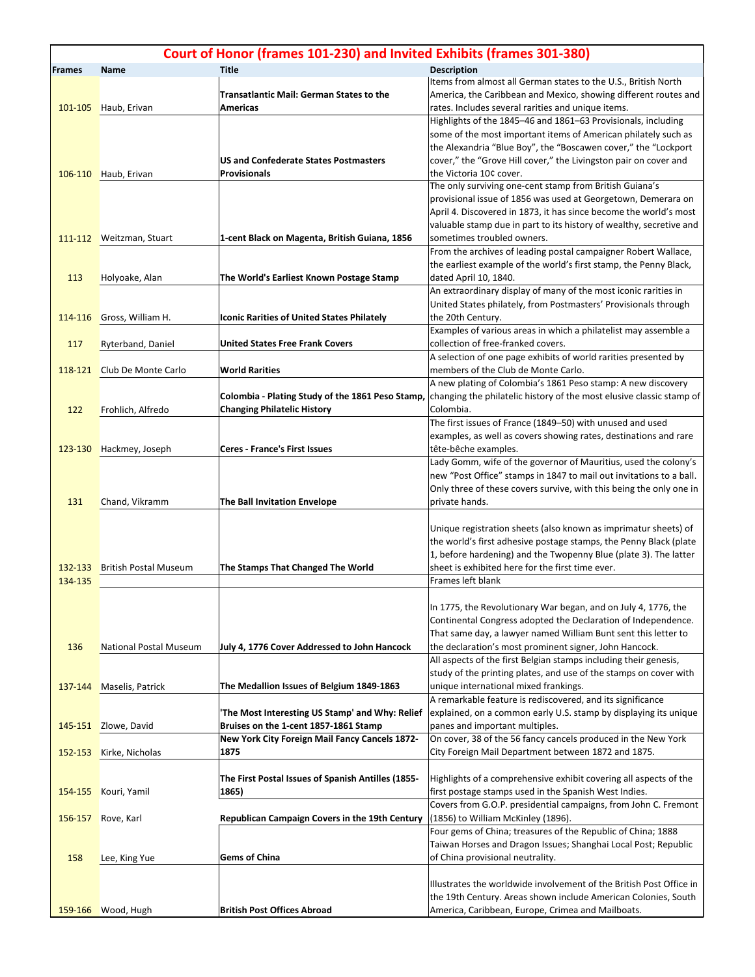| Court of Honor (frames 101-230) and Invited Exhibits (frames 301-380) |                                              |                                                                                           |                                                                                                                                                                                                                                                                                                                                                                                                                                                                                                   |  |  |
|-----------------------------------------------------------------------|----------------------------------------------|-------------------------------------------------------------------------------------------|---------------------------------------------------------------------------------------------------------------------------------------------------------------------------------------------------------------------------------------------------------------------------------------------------------------------------------------------------------------------------------------------------------------------------------------------------------------------------------------------------|--|--|
| <b>Frames</b>                                                         | <b>Name</b>                                  | <b>Title</b>                                                                              | <b>Description</b>                                                                                                                                                                                                                                                                                                                                                                                                                                                                                |  |  |
| 101-105                                                               | Haub, Erivan                                 | <b>Transatlantic Mail: German States to the</b><br><b>Americas</b>                        | Items from almost all German states to the U.S., British North<br>America, the Caribbean and Mexico, showing different routes and<br>rates. Includes several rarities and unique items.                                                                                                                                                                                                                                                                                                           |  |  |
|                                                                       | 106-110 Haub, Erivan                         | <b>US and Confederate States Postmasters</b><br><b>Provisionals</b>                       | Highlights of the 1845-46 and 1861-63 Provisionals, including<br>some of the most important items of American philately such as<br>the Alexandria "Blue Boy", the "Boscawen cover," the "Lockport<br>cover," the "Grove Hill cover," the Livingston pair on cover and<br>the Victoria 10¢ cover.<br>The only surviving one-cent stamp from British Guiana's<br>provisional issue of 1856 was used at Georgetown, Demerara on<br>April 4. Discovered in 1873, it has since become the world's most |  |  |
|                                                                       | 111-112 Weitzman, Stuart                     | 1-cent Black on Magenta, British Guiana, 1856                                             | valuable stamp due in part to its history of wealthy, secretive and<br>sometimes troubled owners.<br>From the archives of leading postal campaigner Robert Wallace,                                                                                                                                                                                                                                                                                                                               |  |  |
| 113                                                                   | Holyoake, Alan                               | The World's Earliest Known Postage Stamp                                                  | the earliest example of the world's first stamp, the Penny Black,<br>dated April 10, 1840.<br>An extraordinary display of many of the most iconic rarities in                                                                                                                                                                                                                                                                                                                                     |  |  |
| 114-116                                                               | Gross, William H.                            | <b>Iconic Rarities of United States Philately</b>                                         | United States philately, from Postmasters' Provisionals through<br>the 20th Century.<br>Examples of various areas in which a philatelist may assemble a                                                                                                                                                                                                                                                                                                                                           |  |  |
| 117                                                                   | Ryterband, Daniel                            | <b>United States Free Frank Covers</b>                                                    | collection of free-franked covers.<br>A selection of one page exhibits of world rarities presented by                                                                                                                                                                                                                                                                                                                                                                                             |  |  |
| 118-121                                                               | Club De Monte Carlo                          | <b>World Rarities</b><br>Colombia - Plating Study of the 1861 Peso Stamp,                 | members of the Club de Monte Carlo.<br>A new plating of Colombia's 1861 Peso stamp: A new discovery<br>changing the philatelic history of the most elusive classic stamp of                                                                                                                                                                                                                                                                                                                       |  |  |
| 122                                                                   | Frohlich, Alfredo<br>123-130 Hackmey, Joseph | <b>Changing Philatelic History</b><br><b>Ceres - France's First Issues</b>                | Colombia.<br>The first issues of France (1849-50) with unused and used<br>examples, as well as covers showing rates, destinations and rare<br>tête-bêche examples.                                                                                                                                                                                                                                                                                                                                |  |  |
| 131                                                                   | Chand, Vikramm                               | The Ball Invitation Envelope                                                              | Lady Gomm, wife of the governor of Mauritius, used the colony's<br>new "Post Office" stamps in 1847 to mail out invitations to a ball.<br>Only three of these covers survive, with this being the only one in<br>private hands.                                                                                                                                                                                                                                                                   |  |  |
| 132-133<br>134-135                                                    | <b>British Postal Museum</b>                 | The Stamps That Changed The World                                                         | Unique registration sheets (also known as imprimatur sheets) of<br>the world's first adhesive postage stamps, the Penny Black (plate<br>1, before hardening) and the Twopenny Blue (plate 3). The latter<br>sheet is exhibited here for the first time ever.<br>Frames left blank                                                                                                                                                                                                                 |  |  |
| 136<br>137-144                                                        | National Postal Museum<br>Maselis, Patrick   | July 4, 1776 Cover Addressed to John Hancock<br>The Medallion Issues of Belgium 1849-1863 | In 1775, the Revolutionary War began, and on July 4, 1776, the<br>Continental Congress adopted the Declaration of Independence.<br>That same day, a lawyer named William Bunt sent this letter to<br>the declaration's most prominent signer, John Hancock.<br>All aspects of the first Belgian stamps including their genesis,<br>study of the printing plates, and use of the stamps on cover with<br>unique international mixed frankings.                                                     |  |  |
|                                                                       |                                              |                                                                                           | A remarkable feature is rediscovered, and its significance                                                                                                                                                                                                                                                                                                                                                                                                                                        |  |  |
| 145-151                                                               | Zlowe, David                                 | 'The Most Interesting US Stamp' and Why: Relief<br>Bruises on the 1-cent 1857-1861 Stamp  | explained, on a common early U.S. stamp by displaying its unique<br>panes and important multiples.                                                                                                                                                                                                                                                                                                                                                                                                |  |  |
| 152-153                                                               | Kirke, Nicholas                              | <b>New York City Foreign Mail Fancy Cancels 1872-</b><br>1875                             | On cover, 38 of the 56 fancy cancels produced in the New York<br>City Foreign Mail Department between 1872 and 1875.                                                                                                                                                                                                                                                                                                                                                                              |  |  |
| 154-155                                                               | Kouri, Yamil                                 | The First Postal Issues of Spanish Antilles (1855-<br>1865)                               | Highlights of a comprehensive exhibit covering all aspects of the<br>first postage stamps used in the Spanish West Indies.<br>Covers from G.O.P. presidential campaigns, from John C. Fremont                                                                                                                                                                                                                                                                                                     |  |  |
| 156-157                                                               | Rove, Karl                                   | Republican Campaign Covers in the 19th Century                                            | (1856) to William McKinley (1896).<br>Four gems of China; treasures of the Republic of China; 1888<br>Taiwan Horses and Dragon Issues; Shanghai Local Post; Republic                                                                                                                                                                                                                                                                                                                              |  |  |
| 158                                                                   | Lee, King Yue                                | <b>Gems of China</b>                                                                      | of China provisional neutrality.                                                                                                                                                                                                                                                                                                                                                                                                                                                                  |  |  |
|                                                                       |                                              |                                                                                           | Illustrates the worldwide involvement of the British Post Office in<br>the 19th Century. Areas shown include American Colonies, South                                                                                                                                                                                                                                                                                                                                                             |  |  |
|                                                                       | 159-166 Wood, Hugh                           | <b>British Post Offices Abroad</b>                                                        | America, Caribbean, Europe, Crimea and Mailboats.                                                                                                                                                                                                                                                                                                                                                                                                                                                 |  |  |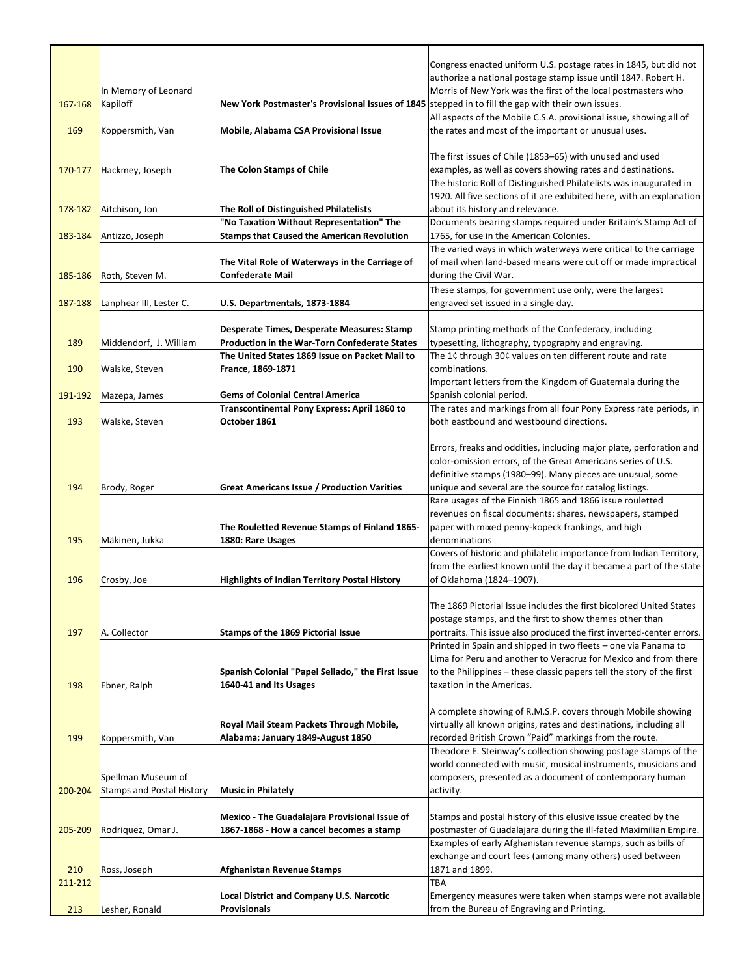|         |                                  |                                                                                                           | Congress enacted uniform U.S. postage rates in 1845, but did not                                                                   |
|---------|----------------------------------|-----------------------------------------------------------------------------------------------------------|------------------------------------------------------------------------------------------------------------------------------------|
|         |                                  |                                                                                                           | authorize a national postage stamp issue until 1847. Robert H.                                                                     |
| 167-168 | In Memory of Leonard             | New York Postmaster's Provisional Issues of 1845 stepped in to fill the gap with their own issues.        | Morris of New York was the first of the local postmasters who                                                                      |
|         | Kapiloff                         |                                                                                                           | All aspects of the Mobile C.S.A. provisional issue, showing all of                                                                 |
| 169     | Koppersmith, Van                 | Mobile, Alabama CSA Provisional Issue                                                                     | the rates and most of the important or unusual uses.                                                                               |
|         |                                  |                                                                                                           |                                                                                                                                    |
|         |                                  |                                                                                                           | The first issues of Chile (1853-65) with unused and used                                                                           |
| 170-177 | Hackmey, Joseph                  | <b>The Colon Stamps of Chile</b>                                                                          | examples, as well as covers showing rates and destinations.                                                                        |
|         |                                  |                                                                                                           | The historic Roll of Distinguished Philatelists was inaugurated in                                                                 |
|         |                                  |                                                                                                           | 1920. All five sections of it are exhibited here, with an explanation                                                              |
|         | 178-182 Aitchison, Jon           | The Roll of Distinguished Philatelists                                                                    | about its history and relevance.                                                                                                   |
|         |                                  | "No Taxation Without Representation" The                                                                  | Documents bearing stamps required under Britain's Stamp Act of                                                                     |
| 183-184 | Antizzo, Joseph                  | <b>Stamps that Caused the American Revolution</b>                                                         | 1765, for use in the American Colonies.                                                                                            |
|         |                                  |                                                                                                           | The varied ways in which waterways were critical to the carriage                                                                   |
|         |                                  | The Vital Role of Waterways in the Carriage of                                                            | of mail when land-based means were cut off or made impractical                                                                     |
| 185-186 | Roth, Steven M.                  | <b>Confederate Mail</b>                                                                                   | during the Civil War.                                                                                                              |
|         |                                  |                                                                                                           | These stamps, for government use only, were the largest                                                                            |
| 187-188 | Lanphear III, Lester C.          | U.S. Departmentals, 1873-1884                                                                             | engraved set issued in a single day.                                                                                               |
|         |                                  |                                                                                                           |                                                                                                                                    |
| 189     | Middendorf, J. William           | <b>Desperate Times, Desperate Measures: Stamp</b><br><b>Production in the War-Torn Confederate States</b> | Stamp printing methods of the Confederacy, including<br>typesetting, lithography, typography and engraving.                        |
|         |                                  | The United States 1869 Issue on Packet Mail to                                                            | The 1¢ through 30¢ values on ten different route and rate                                                                          |
| 190     | Walske, Steven                   | France, 1869-1871                                                                                         | combinations.                                                                                                                      |
|         |                                  |                                                                                                           | Important letters from the Kingdom of Guatemala during the                                                                         |
| 191-192 | Mazepa, James                    | <b>Gems of Colonial Central America</b>                                                                   | Spanish colonial period.                                                                                                           |
|         |                                  | Transcontinental Pony Express: April 1860 to                                                              | The rates and markings from all four Pony Express rate periods, in                                                                 |
| 193     | Walske, Steven                   | October 1861                                                                                              | both eastbound and westbound directions.                                                                                           |
|         |                                  |                                                                                                           |                                                                                                                                    |
|         |                                  |                                                                                                           | Errors, freaks and oddities, including major plate, perforation and                                                                |
|         |                                  |                                                                                                           | color-omission errors, of the Great Americans series of U.S.                                                                       |
|         |                                  |                                                                                                           | definitive stamps (1980-99). Many pieces are unusual, some                                                                         |
| 194     | Brody, Roger                     | <b>Great Americans Issue / Production Varities</b>                                                        | unique and several are the source for catalog listings.                                                                            |
|         |                                  |                                                                                                           | Rare usages of the Finnish 1865 and 1866 issue rouletted                                                                           |
|         |                                  |                                                                                                           | revenues on fiscal documents: shares, newspapers, stamped                                                                          |
|         |                                  | The Rouletted Revenue Stamps of Finland 1865-                                                             | paper with mixed penny-kopeck frankings, and high<br>denominations                                                                 |
| 195     | Mäkinen, Jukka                   | 1880: Rare Usages                                                                                         | Covers of historic and philatelic importance from Indian Territory,                                                                |
|         |                                  |                                                                                                           | from the earliest known until the day it became a part of the state                                                                |
| 196     | Crosby, Joe                      | <b>Highlights of Indian Territory Postal History</b>                                                      | of Oklahoma (1824-1907).                                                                                                           |
|         |                                  |                                                                                                           |                                                                                                                                    |
|         |                                  |                                                                                                           | The 1869 Pictorial Issue includes the first bicolored United States                                                                |
|         |                                  |                                                                                                           | postage stamps, and the first to show themes other than                                                                            |
| 197     | A. Collector                     | <b>Stamps of the 1869 Pictorial Issue</b>                                                                 | portraits. This issue also produced the first inverted-center errors.                                                              |
|         |                                  |                                                                                                           | Printed in Spain and shipped in two fleets - one via Panama to                                                                     |
|         |                                  |                                                                                                           | Lima for Peru and another to Veracruz for Mexico and from there                                                                    |
|         |                                  | Spanish Colonial "Papel Sellado," the First Issue                                                         | to the Philippines - these classic papers tell the story of the first                                                              |
| 198     | Ebner, Ralph                     | 1640-41 and Its Usages                                                                                    | taxation in the Americas.                                                                                                          |
|         |                                  |                                                                                                           |                                                                                                                                    |
|         |                                  | Royal Mail Steam Packets Through Mobile,                                                                  | A complete showing of R.M.S.P. covers through Mobile showing<br>virtually all known origins, rates and destinations, including all |
| 199     | Koppersmith, Van                 | Alabama: January 1849-August 1850                                                                         | recorded British Crown "Paid" markings from the route.                                                                             |
|         |                                  |                                                                                                           | Theodore E. Steinway's collection showing postage stamps of the                                                                    |
|         |                                  |                                                                                                           | world connected with music, musical instruments, musicians and                                                                     |
|         | Spellman Museum of               |                                                                                                           | composers, presented as a document of contemporary human                                                                           |
| 200-204 | <b>Stamps and Postal History</b> | <b>Music in Philately</b>                                                                                 | activity.                                                                                                                          |
|         |                                  |                                                                                                           |                                                                                                                                    |
|         |                                  | Mexico - The Guadalajara Provisional Issue of                                                             | Stamps and postal history of this elusive issue created by the                                                                     |
| 205-209 | Rodriquez, Omar J.               | 1867-1868 - How a cancel becomes a stamp                                                                  | postmaster of Guadalajara during the ill-fated Maximilian Empire.                                                                  |
|         |                                  |                                                                                                           | Examples of early Afghanistan revenue stamps, such as bills of                                                                     |
|         |                                  |                                                                                                           | exchange and court fees (among many others) used between                                                                           |
| 210     | Ross, Joseph                     | <b>Afghanistan Revenue Stamps</b>                                                                         | 1871 and 1899.                                                                                                                     |
| 211-212 |                                  |                                                                                                           | <b>TBA</b>                                                                                                                         |
|         |                                  | <b>Local District and Company U.S. Narcotic</b>                                                           | Emergency measures were taken when stamps were not available                                                                       |
| 213     | Lesher, Ronald                   | <b>Provisionals</b>                                                                                       | from the Bureau of Engraving and Printing.                                                                                         |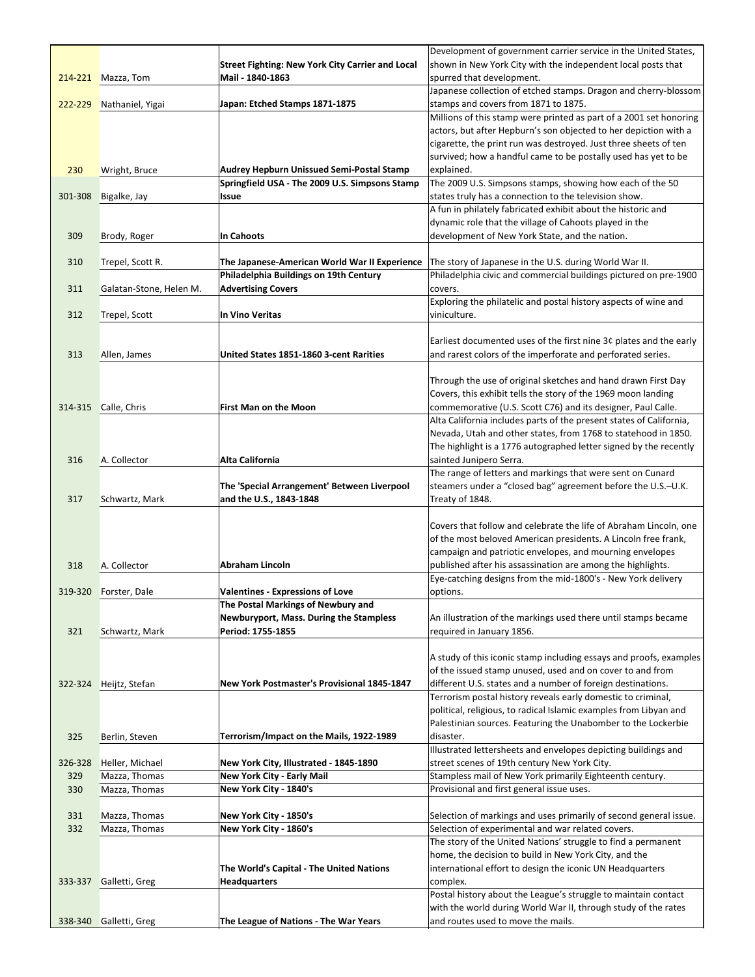|         |                         |                                                                | Development of government carrier service in the United States,                                                                 |
|---------|-------------------------|----------------------------------------------------------------|---------------------------------------------------------------------------------------------------------------------------------|
|         |                         | <b>Street Fighting: New York City Carrier and Local</b>        | shown in New York City with the independent local posts that                                                                    |
|         | 214-221 Mazza, Tom      | Mail - 1840-1863                                               | spurred that development.                                                                                                       |
|         |                         |                                                                | Japanese collection of etched stamps. Dragon and cherry-blossom                                                                 |
| 222-229 | Nathaniel, Yigai        | Japan: Etched Stamps 1871-1875                                 | stamps and covers from 1871 to 1875.                                                                                            |
|         |                         |                                                                | Millions of this stamp were printed as part of a 2001 set honoring                                                              |
|         |                         |                                                                | actors, but after Hepburn's son objected to her depiction with a                                                                |
|         |                         |                                                                | cigarette, the print run was destroyed. Just three sheets of ten                                                                |
|         |                         |                                                                | survived; how a handful came to be postally used has yet to be                                                                  |
| 230     | Wright, Bruce           | <b>Audrey Hepburn Unissued Semi-Postal Stamp</b>               | explained.                                                                                                                      |
| 301-308 |                         | Springfield USA - The 2009 U.S. Simpsons Stamp<br><b>Issue</b> | The 2009 U.S. Simpsons stamps, showing how each of the 50<br>states truly has a connection to the television show.              |
|         | Bigalke, Jay            |                                                                | A fun in philately fabricated exhibit about the historic and                                                                    |
|         |                         |                                                                | dynamic role that the village of Cahoots played in the                                                                          |
| 309     | Brody, Roger            | <b>In Cahoots</b>                                              | development of New York State, and the nation.                                                                                  |
|         |                         |                                                                |                                                                                                                                 |
| 310     | Trepel, Scott R.        | The Japanese-American World War II Experience                  | The story of Japanese in the U.S. during World War II.                                                                          |
|         |                         | Philadelphia Buildings on 19th Century                         | Philadelphia civic and commercial buildings pictured on pre-1900                                                                |
| 311     | Galatan-Stone, Helen M. | <b>Advertising Covers</b>                                      | covers.                                                                                                                         |
|         |                         |                                                                | Exploring the philatelic and postal history aspects of wine and                                                                 |
| 312     | Trepel, Scott           | <b>In Vino Veritas</b>                                         | viniculture.                                                                                                                    |
|         |                         |                                                                |                                                                                                                                 |
|         |                         |                                                                | Earliest documented uses of the first nine 3¢ plates and the early                                                              |
| 313     | Allen, James            | United States 1851-1860 3-cent Rarities                        | and rarest colors of the imperforate and perforated series.                                                                     |
|         |                         |                                                                |                                                                                                                                 |
|         |                         |                                                                | Through the use of original sketches and hand drawn First Day                                                                   |
|         |                         |                                                                | Covers, this exhibit tells the story of the 1969 moon landing                                                                   |
| 314-315 | Calle, Chris            | <b>First Man on the Moon</b>                                   | commemorative (U.S. Scott C76) and its designer, Paul Calle.                                                                    |
|         |                         |                                                                | Alta California includes parts of the present states of California,                                                             |
|         |                         |                                                                | Nevada, Utah and other states, from 1768 to statehood in 1850.                                                                  |
| 316     | A. Collector            | <b>Alta California</b>                                         | The highlight is a 1776 autographed letter signed by the recently<br>sainted Junipero Serra.                                    |
|         |                         |                                                                | The range of letters and markings that were sent on Cunard                                                                      |
|         |                         | The 'Special Arrangement' Between Liverpool                    | steamers under a "closed bag" agreement before the U.S.-U.K.                                                                    |
| 317     | Schwartz, Mark          | and the U.S., 1843-1848                                        | Treaty of 1848.                                                                                                                 |
|         |                         |                                                                |                                                                                                                                 |
|         |                         |                                                                | Covers that follow and celebrate the life of Abraham Lincoln, one                                                               |
|         |                         |                                                                | of the most beloved American presidents. A Lincoln free frank,                                                                  |
|         |                         |                                                                | campaign and patriotic envelopes, and mourning envelopes                                                                        |
| 318     | A. Collector            | <b>Abraham Lincoln</b>                                         | published after his assassination are among the highlights.                                                                     |
|         |                         |                                                                | Eye-catching designs from the mid-1800's - New York delivery                                                                    |
| 319-320 | Forster, Dale           | <b>Valentines - Expressions of Love</b>                        | options.                                                                                                                        |
|         |                         | The Postal Markings of Newbury and                             |                                                                                                                                 |
|         |                         | <b>Newburyport, Mass. During the Stampless</b>                 | An illustration of the markings used there until stamps became                                                                  |
| 321     | Schwartz, Mark          | Period: 1755-1855                                              | required in January 1856.                                                                                                       |
|         |                         |                                                                |                                                                                                                                 |
|         |                         |                                                                | A study of this iconic stamp including essays and proofs, examples<br>of the issued stamp unused, used and on cover to and from |
| 322-324 | Heijtz, Stefan          | New York Postmaster's Provisional 1845-1847                    | different U.S. states and a number of foreign destinations.                                                                     |
|         |                         |                                                                | Terrorism postal history reveals early domestic to criminal,                                                                    |
|         |                         |                                                                | political, religious, to radical Islamic examples from Libyan and                                                               |
|         |                         |                                                                | Palestinian sources. Featuring the Unabomber to the Lockerbie                                                                   |
| 325     | Berlin, Steven          | Terrorism/Impact on the Mails, 1922-1989                       | disaster.                                                                                                                       |
|         |                         |                                                                | Illustrated lettersheets and envelopes depicting buildings and                                                                  |
| 326-328 | Heller, Michael         | New York City, Illustrated - 1845-1890                         | street scenes of 19th century New York City.                                                                                    |
| 329     | Mazza, Thomas           | <b>New York City - Early Mail</b>                              | Stampless mail of New York primarily Eighteenth century.                                                                        |
| 330     | Mazza, Thomas           | New York City - 1840's                                         | Provisional and first general issue uses.                                                                                       |
|         |                         |                                                                |                                                                                                                                 |
| 331     | Mazza, Thomas           | New York City - 1850's                                         | Selection of markings and uses primarily of second general issue.                                                               |
| 332     | Mazza, Thomas           | New York City - 1860's                                         | Selection of experimental and war related covers.                                                                               |
|         |                         |                                                                | The story of the United Nations' struggle to find a permanent                                                                   |
|         |                         |                                                                | home, the decision to build in New York City, and the                                                                           |
|         |                         | The World's Capital - The United Nations                       | international effort to design the iconic UN Headquarters                                                                       |
| 333-337 | Galletti, Greg          | <b>Headquarters</b>                                            | complex.<br>Postal history about the League's struggle to maintain contact                                                      |
|         |                         |                                                                | with the world during World War II, through study of the rates                                                                  |
| 338-340 | Galletti, Greg          | The League of Nations - The War Years                          | and routes used to move the mails.                                                                                              |
|         |                         |                                                                |                                                                                                                                 |